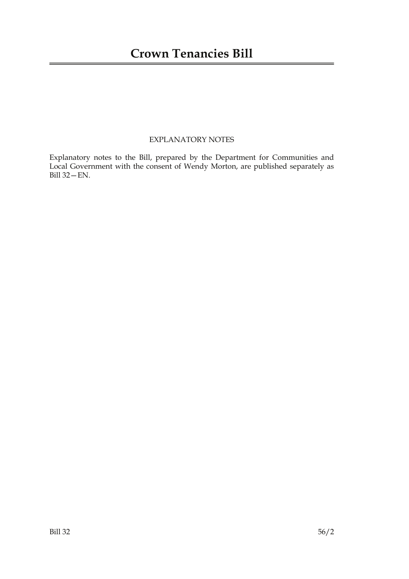### EXPLANATORY NOTES

Explanatory notes to the Bill, prepared by the Department for Communities and Local Government with the consent of Wendy Morton, are published separately as Bill 32—EN.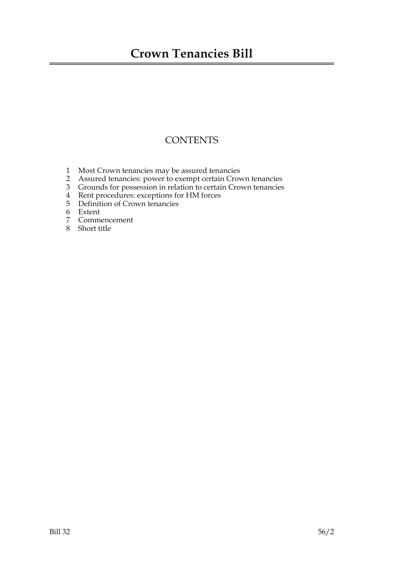## **Crown Tenancies Bill**

### **CONTENTS**

- 1 Most Crown tenancies may be assured tenancies
- 2 Assured tenancies: power to exempt certain Crown tenancies
- 3 Grounds for possession in relation to certain Crown tenancies
- 4 Rent procedures: exceptions for HM forces
- 5 Definition of Crown tenancies
- Extent
- 7 Commencement
- 8 Short title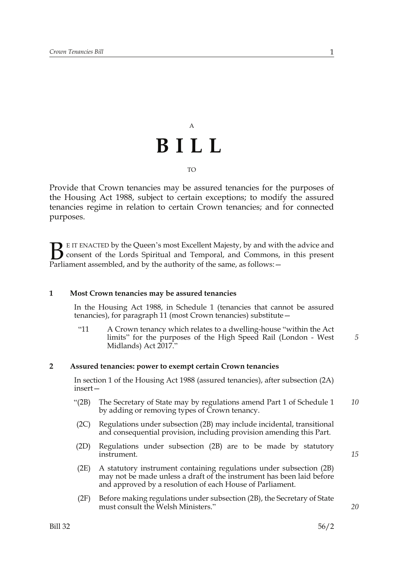# A **BILL** TO

Provide that Crown tenancies may be assured tenancies for the purposes of the Housing Act 1988, subject to certain exceptions; to modify the assured tenancies regime in relation to certain Crown tenancies; and for connected purposes.

E IT ENACTED by the Queen's most Excellent Majesty, by and with the advice and consent of the Lords Spiritual and Temporal, and Commons, in this present **B** E IT ENACTED by the Queen's most Excellent Majesty, by and with consent of the Lords Spiritual and Temporal, and Commons, Parliament assembled, and by the authority of the same, as follows:  $-$ 

#### **1 Most Crown tenancies may be assured tenancies**

 In the Housing Act 1988, in Schedule 1 (tenancies that cannot be assured tenancies), for paragraph 11 (most Crown tenancies) substitute—

"11 A Crown tenancy which relates to a dwelling-house "within the Act limits" for the purposes of the High Speed Rail (London - West Midlands) Act 2017."

#### **2 Assured tenancies: power to exempt certain Crown tenancies**

 In section 1 of the Housing Act 1988 (assured tenancies), after subsection (2A) insert—

- "(2B) The Secretary of State may by regulations amend Part 1 of Schedule 1 by adding or removing types of Crown tenancy. *10*
- (2C) Regulations under subsection (2B) may include incidental, transitional and consequential provision, including provision amending this Part.
- (2D) Regulations under subsection (2B) are to be made by statutory instrument.
- (2E) A statutory instrument containing regulations under subsection (2B) may not be made unless a draft of the instrument has been laid before and approved by a resolution of each House of Parliament.
- (2F) Before making regulations under subsection (2B), the Secretary of State must consult the Welsh Ministers."

*20*

*15*

*5*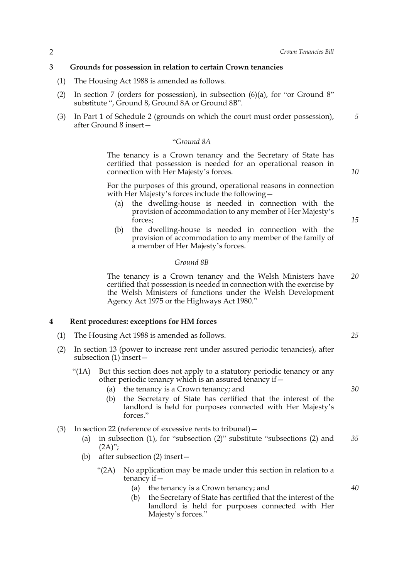#### **3 Grounds for possession in relation to certain Crown tenancies**

- (1) The Housing Act 1988 is amended as follows.
- (2) In section 7 (orders for possession), in subsection  $(6)(a)$ , for "or Ground 8" substitute ", Ground 8, Ground 8A or Ground 8B".
- (3) In Part 1 of Schedule 2 (grounds on which the court must order possession), after Ground 8 insert— *5*

#### "*Ground 8A*

The tenancy is a Crown tenancy and the Secretary of State has certified that possession is needed for an operational reason in connection with Her Majesty's forces.

For the purposes of this ground, operational reasons in connection with Her Majesty's forces include the following—

- (a) the dwelling-house is needed in connection with the provision of accommodation to any member of Her Majesty's forces;
- (b) the dwelling-house is needed in connection with the provision of accommodation to any member of the family of a member of Her Majesty's forces.

#### *Ground 8B*

The tenancy is a Crown tenancy and the Welsh Ministers have certified that possession is needed in connection with the exercise by the Welsh Ministers of functions under the Welsh Development Agency Act 1975 or the Highways Act 1980." *20*

#### **4 Rent procedures: exceptions for HM forces**

- (1) The Housing Act 1988 is amended as follows.
- (2) In section 13 (power to increase rent under assured periodic tenancies), after subsection (1) insert—
	- "(1A) But this section does not apply to a statutory periodic tenancy or any other periodic tenancy which is an assured tenancy if  $-$ 
		- (a) the tenancy is a Crown tenancy; and
		- (b) the Secretary of State has certified that the interest of the landlord is held for purposes connected with Her Majesty's forces."
- (3) In section 22 (reference of excessive rents to tribunal)—
	- (a) in subsection (1), for "subsection (2)" substitute "subsections (2) and  $(2A)$ "; *35*
	- (b) after subsection (2) insert—
		- "(2A) No application may be made under this section in relation to a tenancy if  $-$ 
			- (a) the tenancy is a Crown tenancy; and
			- (b) the Secretary of State has certified that the interest of the landlord is held for purposes connected with Her Majesty's forces."

*10*

*15*

*25*

*30*

*40*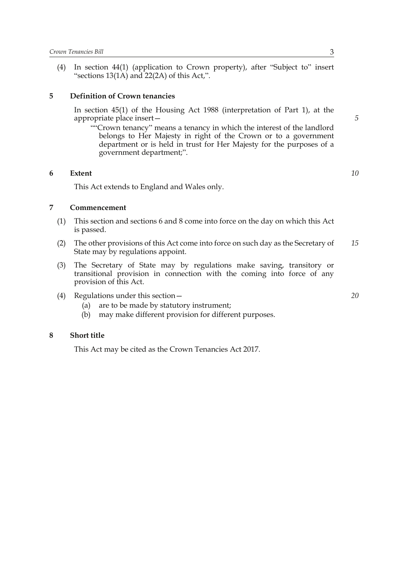(4) In section 44(1) (application to Crown property), after "Subject to" insert "sections 13(1A) and 22(2A) of this Act,".

#### **5 Definition of Crown tenancies**

 In section 45(1) of the Housing Act 1988 (interpretation of Part 1), at the appropriate place insert—

""Crown tenancy" means a tenancy in which the interest of the landlord belongs to Her Majesty in right of the Crown or to a government department or is held in trust for Her Majesty for the purposes of a government department;".

#### **6 Extent**

This Act extends to England and Wales only.

#### **7 Commencement**

- (1) This section and sections 6 and 8 come into force on the day on which this Act is passed.
- (2) The other provisions of this Act come into force on such day as the Secretary of State may by regulations appoint. *15*
- (3) The Secretary of State may by regulations make saving, transitory or transitional provision in connection with the coming into force of any provision of this Act.
- (4) Regulations under this section—
	- (a) are to be made by statutory instrument;
	- (b) may make different provision for different purposes.

#### **8 Short title**

This Act may be cited as the Crown Tenancies Act 2017.

*5*

*10*

*20*